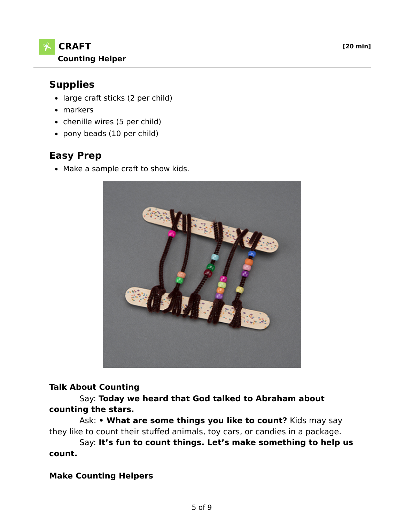# **Supplies**

- large craft sticks (2 per child)
- markers
- chenille wires (5 per child)
- pony beads (10 per child)

## **Easy Prep**

• Make a sample craft to show kids.



#### **Talk About Counting**

 Say: **Today we heard that God talked to Abraham about counting the stars.**

 Ask: **• What are some things you like to count?** Kids may say they like to count their stuffed animals, toy cars, or candies in a package.

 Say: **It's fun to count things. Let's make something to help us count.**

### **Make Counting Helpers**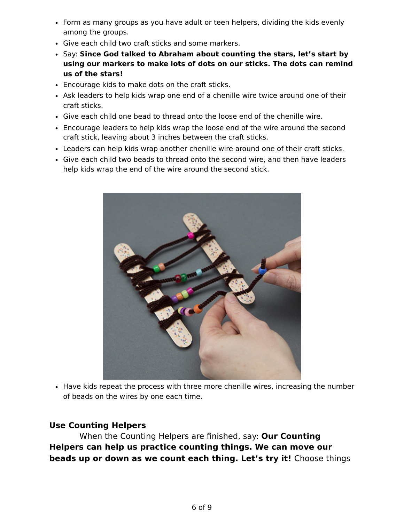- Form as many groups as you have adult or teen helpers, dividing the kids evenly among the groups.
- Give each child two craft sticks and some markers.
- Say: **Since God talked to Abraham about counting the stars, let's start by using our markers to make lots of dots on our sticks. The dots can remind us of the stars!**
- Encourage kids to make dots on the craft sticks.
- Ask leaders to help kids wrap one end of a chenille wire twice around one of their craft sticks.
- Give each child one bead to thread onto the loose end of the chenille wire.
- Encourage leaders to help kids wrap the loose end of the wire around the second craft stick, leaving about 3 inches between the craft sticks.
- Leaders can help kids wrap another chenille wire around one of their craft sticks.
- Give each child two beads to thread onto the second wire, and then have leaders help kids wrap the end of the wire around the second stick.



Have kids repeat the process with three more chenille wires, increasing the number of beads on the wires by one each time.

### **Use Counting Helpers**

 When the Counting Helpers are finished, say: **Our Counting Helpers can help us practice counting things. We can move our beads up or down as we count each thing. Let's try it!** Choose things